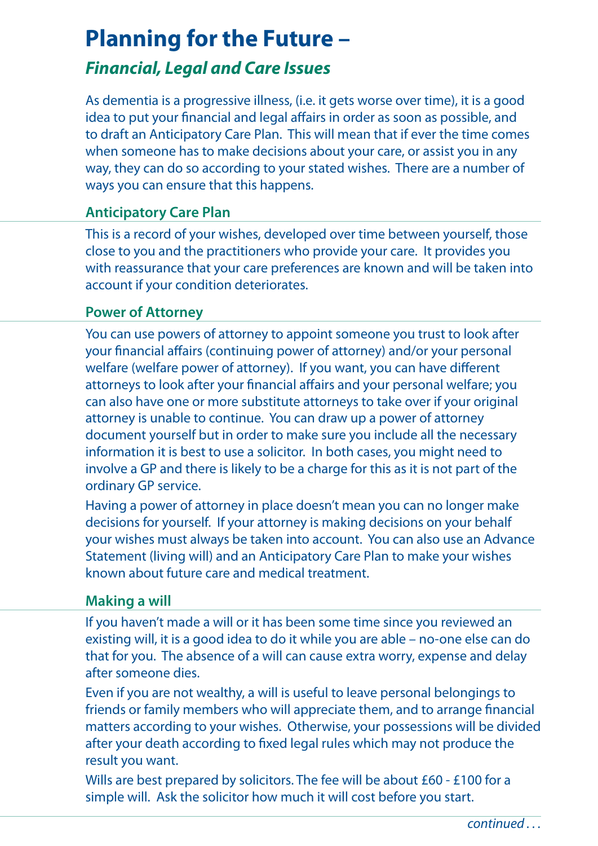# **Planning for the Future –**

## *Financial, Legal and Care Issues*

As dementia is a progressive illness, (i.e. it gets worse over time), it is a good idea to put your financial and legal affairs in order as soon as possible, and to draft an Anticipatory Care Plan. This will mean that if ever the time comes when someone has to make decisions about your care, or assist you in any way, they can do so according to your stated wishes. There are a number of ways you can ensure that this happens.

#### **Anticipatory Care Plan**

This is a record of your wishes, developed over time between yourself, those close to you and the practitioners who provide your care. It provides you with reassurance that your care preferences are known and will be taken into account if your condition deteriorates.

### **Power of Attorney**

You can use powers of attorney to appoint someone you trust to look after your financial affairs (continuing power of attorney) and/or your personal welfare (welfare power of attorney). If you want, you can have different attorneys to look after your financial affairs and your personal welfare; you can also have one or more substitute attorneys to take over if your original attorney is unable to continue. You can draw up a power of attorney document yourself but in order to make sure you include all the necessary information it is best to use a solicitor. In both cases, you might need to involve a GP and there is likely to be a charge for this as it is not part of the ordinary GP service.

Having a power of attorney in place doesn't mean you can no longer make decisions for yourself. If your attorney is making decisions on your behalf your wishes must always be taken into account. You can also use an Advance Statement (living will) and an Anticipatory Care Plan to make your wishes known about future care and medical treatment.

#### **Making a will**

If you haven't made a will or it has been some time since you reviewed an existing will, it is a good idea to do it while you are able – no-one else can do that for you. The absence of a will can cause extra worry, expense and delay after someone dies.

Even if you are not wealthy, a will is useful to leave personal belongings to friends or family members who will appreciate them, and to arrange financial matters according to your wishes. Otherwise, your possessions will be divided after your death according to fixed legal rules which may not produce the result you want.

Wills are best prepared by solicitors. The fee will be about £60 - £100 for a simple will. Ask the solicitor how much it will cost before you start.